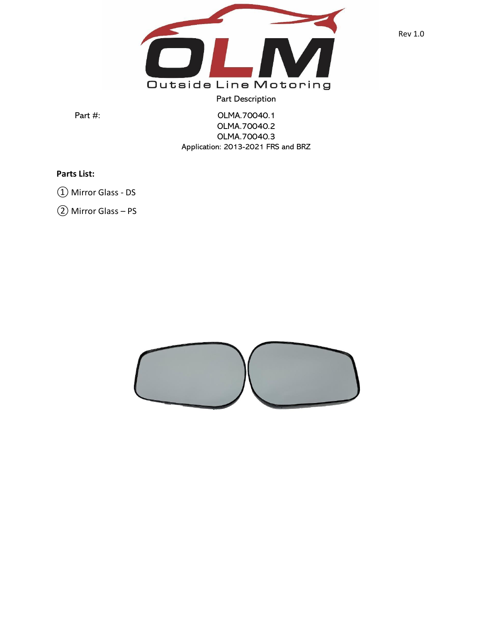

Part Description

Part #: 0LMA.70040.1 OLMA.70040.2 OLMA.70040.3 Application: 2013-2021 FRS and BRZ

## **Parts List:**

① Mirror Glass - DS

② Mirror Glass – PS

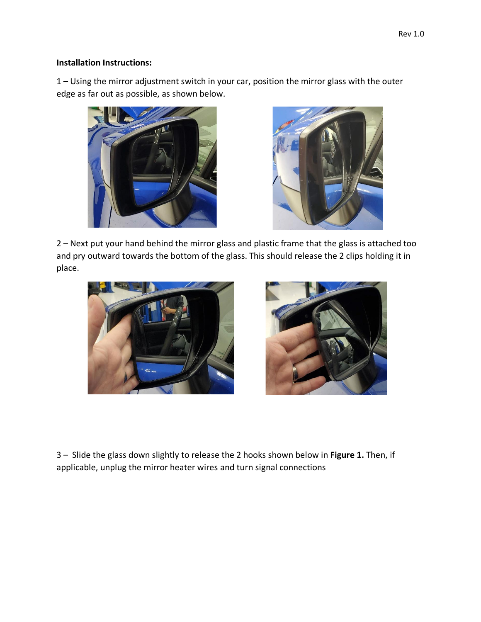## **Installation Instructions:**

1 – Using the mirror adjustment switch in your car, position the mirror glass with the outer edge as far out as possible, as shown below.





2 – Next put your hand behind the mirror glass and plastic frame that the glass is attached too and pry outward towards the bottom of the glass. This should release the 2 clips holding it in place.





3 – Slide the glass down slightly to release the 2 hooks shown below in **Figure 1.** Then, if applicable, unplug the mirror heater wires and turn signal connections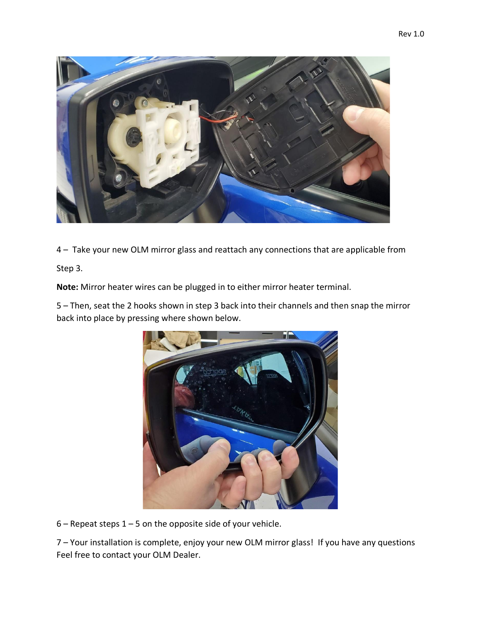

4 – Take your new OLM mirror glass and reattach any connections that are applicable from

Step 3.

**Note:** Mirror heater wires can be plugged in to either mirror heater terminal.

5 – Then, seat the 2 hooks shown in step 3 back into their channels and then snap the mirror back into place by pressing where shown below.



 $6$  – Repeat steps  $1 - 5$  on the opposite side of your vehicle.

7 – Your installation is complete, enjoy your new OLM mirror glass! If you have any questions Feel free to contact your OLM Dealer.